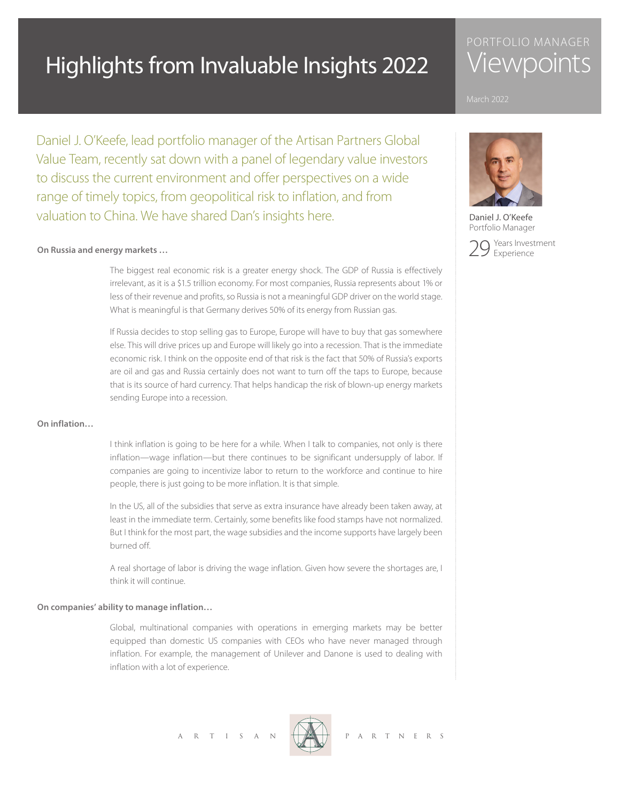# Highlights from Invaluable Insights 2022

# PORTFOLIO MANAGER **Viewpoints**



Portfolio Manager



Daniel J. O'Keefe, lead portfolio manager of the Artisan Partners Global Value Team, recently sat down with a panel of legendary value investors to discuss the current environment and offer perspectives on a wide range of timely topics, from geopolitical risk to inflation, and from valuation to China. We have shared Dan's insights here. **Daniel J. O'Keefe** 

### **On Russia and energy markets …**

 The biggest real economic risk is a greater energy shock. The GDP of Russia is effectively irrelevant, as it is a \$1.5 trillion economy. For most companies, Russia represents about 1% or less of their revenue and profits, so Russia is not a meaningful GDP driver on the world stage. What is meaningful is that Germany derives 50% of its energy from Russian gas.

 If Russia decides to stop selling gas to Europe, Europe will have to buy that gas somewhere else. This will drive prices up and Europe will likely go into a recession. That is the immediate economic risk. I think on the opposite end of that risk is the fact that 50% of Russia's exports are oil and gas and Russia certainly does not want to turn off the taps to Europe, because that is its source of hard currency. That helps handicap the risk of blown-up energy markets sending Europe into a recession.

## **On inflation…**

 I think inflation is going to be here for a while. When I talk to companies, not only is there inflation—wage inflation—but there continues to be significant undersupply of labor. If companies are going to incentivize labor to return to the workforce and continue to hire people, there is just going to be more inflation. It is that simple.

 In the US, all of the subsidies that serve as extra insurance have already been taken away, at least in the immediate term. Certainly, some benefits like food stamps have not normalized. But I think for the most part, the wage subsidies and the income supports have largely been burned off.

 A real shortage of labor is driving the wage inflation. Given how severe the shortages are, I think it will continue.

#### **On companies' ability to manage inflation…**

 Global, multinational companies with operations in emerging markets may be better equipped than domestic US companies with CEOs who have never managed through inflation. For example, the management of Unilever and Danone is used to dealing with inflation with a lot of experience.

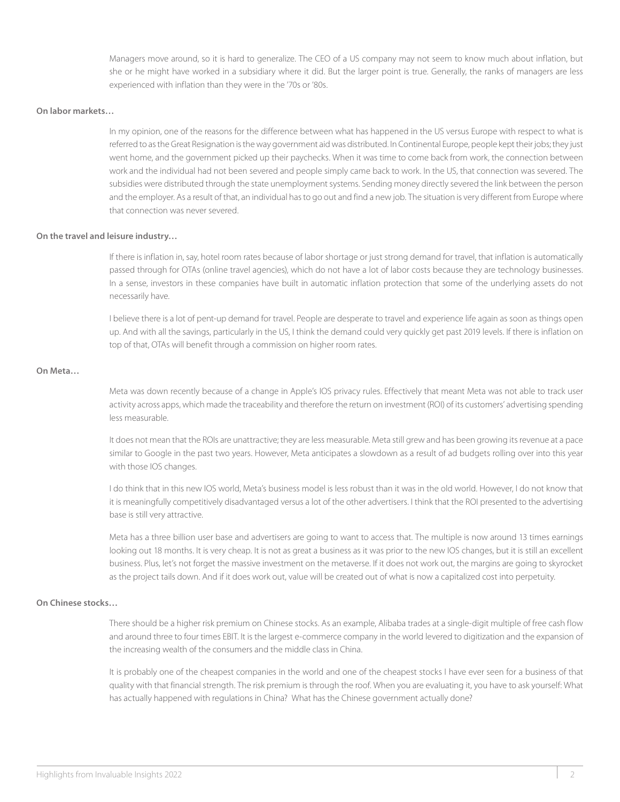Managers move around, so it is hard to generalize. The CEO of a US company may not seem to know much about inflation, but she or he might have worked in a subsidiary where it did. But the larger point is true. Generally, the ranks of managers are less experienced with inflation than they were in the '70s or '80s.

### **On labor markets…**

In my opinion, one of the reasons for the difference between what has happened in the US versus Europe with respect to what is referred to as the Great Resignation is the way government aid was distributed. In Continental Europe, people kept their jobs; they just went home, and the government picked up their paychecks. When it was time to come back from work, the connection between work and the individual had not been severed and people simply came back to work. In the US, that connection was severed. The subsidies were distributed through the state unemployment systems. Sending money directly severed the link between the person and the employer. As a result of that, an individual has to go out and find a new job. The situation is very different from Europe where that connection was never severed.

#### **On the travel and leisure industry…**

 If there is inflation in, say, hotel room rates because of labor shortage or just strong demand for travel, that inflation is automatically passed through for OTAs (online travel agencies), which do not have a lot of labor costs because they are technology businesses. In a sense, investors in these companies have built in automatic inflation protection that some of the underlying assets do not necessarily have.

 I believe there is a lot of pent-up demand for travel. People are desperate to travel and experience life again as soon as things open up. And with all the savings, particularly in the US, I think the demand could very quickly get past 2019 levels. If there is inflation on top of that, OTAs will benefit through a commission on higher room rates.

#### **On Meta…**

 Meta was down recently because of a change in Apple's IOS privacy rules. Effectively that meant Meta was not able to track user activity across apps, which made the traceability and therefore the return on investment (ROI) of its customers' advertising spending less measurable.

 It does not mean that the ROIs are unattractive; they are less measurable. Meta still grew and has been growing its revenue at a pace similar to Google in the past two years. However, Meta anticipates a slowdown as a result of ad budgets rolling over into this year with those IOS changes.

 I do think that in this new IOS world, Meta's business model is less robust than it was in the old world. However, I do not know that it is meaningfully competitively disadvantaged versus a lot of the other advertisers. I think that the ROI presented to the advertising base is still very attractive.

 Meta has a three billion user base and advertisers are going to want to access that. The multiple is now around 13 times earnings looking out 18 months. It is very cheap. It is not as great a business as it was prior to the new IOS changes, but it is still an excellent business. Plus, let's not forget the massive investment on the metaverse. If it does not work out, the margins are going to skyrocket as the project tails down. And if it does work out, value will be created out of what is now a capitalized cost into perpetuity.

# **On Chinese stocks…**

 There should be a higher risk premium on Chinese stocks. As an example, Alibaba trades at a single-digit multiple of free cash flow and around three to four times EBIT. It is the largest e-commerce company in the world levered to digitization and the expansion of the increasing wealth of the consumers and the middle class in China.

It is probably one of the cheapest companies in the world and one of the cheapest stocks I have ever seen for a business of that quality with that financial strength. The risk premium is through the roof. When you are evaluating it, you have to ask yourself: What has actually happened with regulations in China? What has the Chinese government actually done?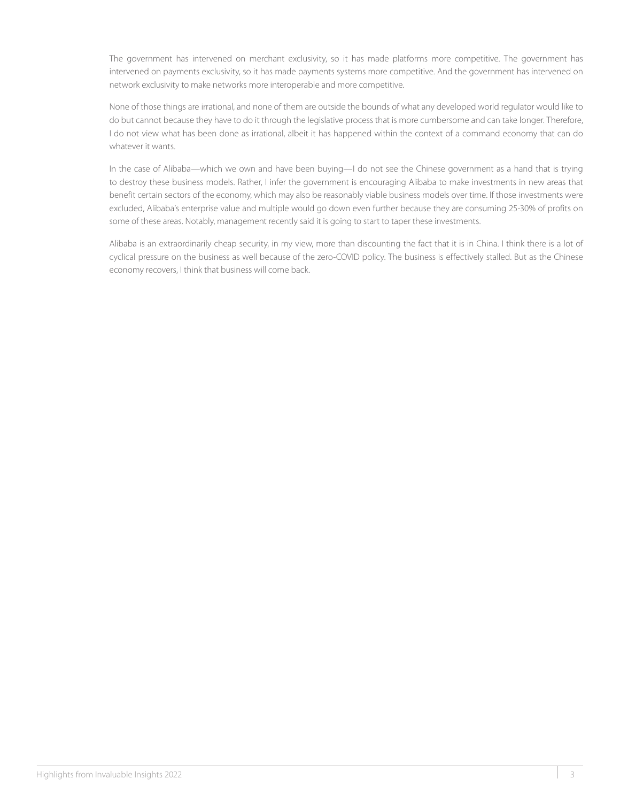The government has intervened on merchant exclusivity, so it has made platforms more competitive. The government has intervened on payments exclusivity, so it has made payments systems more competitive. And the government has intervened on network exclusivity to make networks more interoperable and more competitive.

 None of those things are irrational, and none of them are outside the bounds of what any developed world regulator would like to do but cannot because they have to do it through the legislative process that is more cumbersome and can take longer. Therefore, I do not view what has been done as irrational, albeit it has happened within the context of a command economy that can do whatever it wants.

 In the case of Alibaba—which we own and have been buying—I do not see the Chinese government as a hand that is trying to destroy these business models. Rather, I infer the government is encouraging Alibaba to make investments in new areas that benefit certain sectors of the economy, which may also be reasonably viable business models over time. If those investments were excluded, Alibaba's enterprise value and multiple would go down even further because they are consuming 25-30% of profits on some of these areas. Notably, management recently said it is going to start to taper these investments.

 Alibaba is an extraordinarily cheap security, in my view, more than discounting the fact that it is in China. I think there is a lot of cyclical pressure on the business as well because of the zero-COVID policy. The business is effectively stalled. But as the Chinese economy recovers, I think that business will come back.